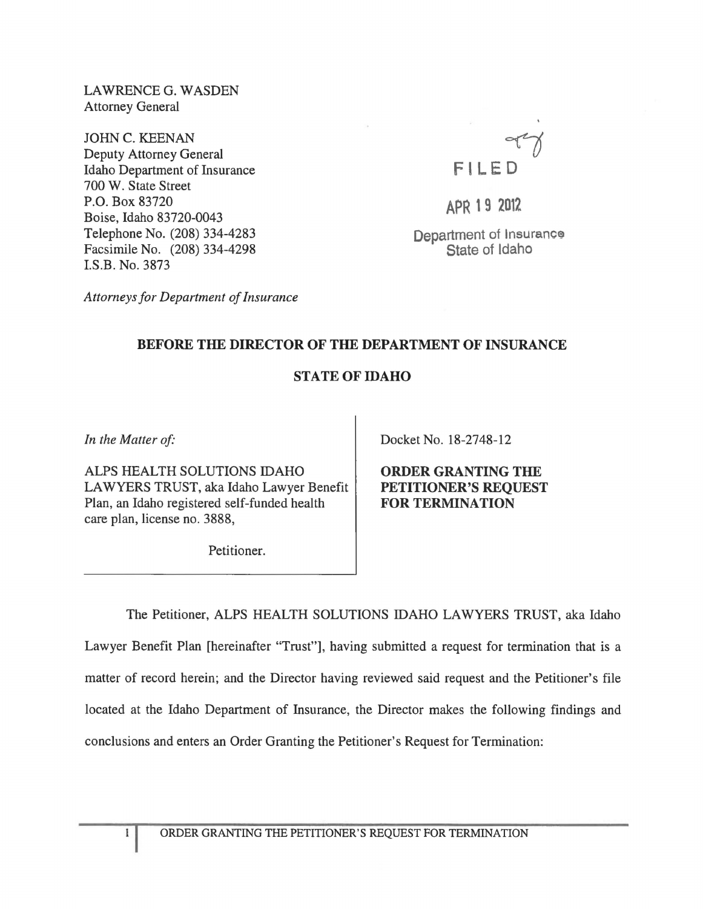LAWRENCEG. WASDEN Attorney General

JOHN C. KEENAN Deputy Attorney General Idaho Department of Insurance 700 W. State Street P.O. Box 83720 Boise, Idaho 83720-0043 Telephone No. (208) 334-4283 Facsimile No. (208) 334-4298 I.S.B. No. 3873



APR 19 <sup>2012</sup>

Department of Insurance State of Idaho

*Attorneys for Department of Insurance* 

## BEFORE THE DIRECTOR OF THE DEPARTMENT OF INSURANCE

## STATE OF IDAHO

*In the Matter of'* 

ALPS HEALTH SOLUTIONS IDAHO LAWYERS TRUST, aka Idaho Lawyer Benefit Plan, an Idaho registered self-funded health care plan, license no. 3888,

Docket No. 18-2748-12

ORDER GRANTING THE PETITIONER'S REQUEST FOR TERMINATION

Petitioner.

The Petitioner, ALPS HEALTH SOLUTIONS IDAHO LAWYERS TRUST, aka Idaho Lawyer Benefit Plan [hereinafter "Trust"], having submitted a request for termination that is a matter of record herein; and the Director having reviewed said request and the Petitioner's file located at the Idaho Department of Insurance, the Director makes the following findings and conclusions and enters an Order Granting the Petitioner's Request for Termination: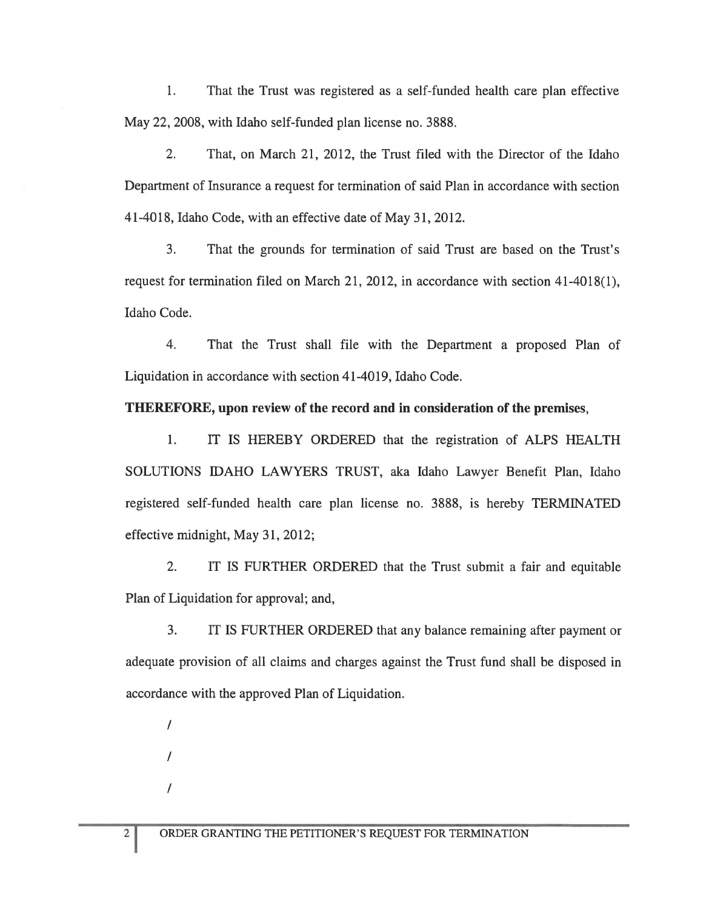1. That the Trust was registered as a self-funded health care plan effective May 22, 2008, with Idaho self-funded plan license no. 3888.

2. That, on March 21, 2012, the Trust filed with the Director of the Idaho Department of Insurance a request for termination of said Plan in accordance with section 41-4018, Idaho Code, with an effective date of May 31, 2012.

3. That the grounds for termination of said Trust are based on the Trust's request for termination filed on March 21, 2012, in accordance with section 41-4018(1), Idaho Code.

4. That the Trust shall file with the Department a proposed Plan of Liquidation in accordance with section 41-4019, Idaho Code.

## THEREFORE, upon review of the record and in consideration of the premises,

1. IT IS HEREBY ORDERED that the registration of ALPS HEALTH SOLUTIONS IDAHO LAWYERS TRUST, aka Idaho Lawyer Benefit Plan, Idaho registered self-funded health care plan license no. 3888, is hereby TERMINATED effective midnight, May 31, 2012;

2. IT IS FURTHER ORDERED that the Trust submit a fair and equitable Plan of Liquidation for approval; and,

3. IT IS FURTHER ORDERED that any balance remaining after payment or adequate provision of all claims and charges against the Trust fund shall be disposed in accordance with the approved Plan of Liquidation.

/ / /